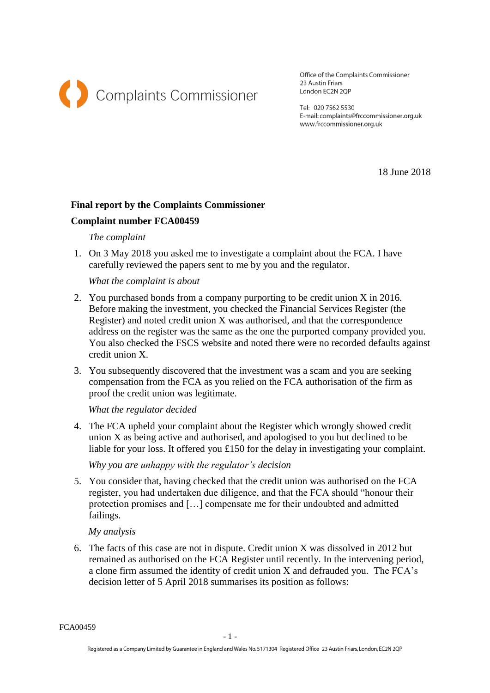

Office of the Complaints Commissioner 23 Austin Friars London EC2N 2QP

Tel: 020 7562 5530 E-mail: complaints@frccommissioner.org.uk www.frccommissioner.org.uk

18 June 2018

# **Final report by the Complaints Commissioner**

## **Complaint number FCA00459**

### *The complaint*

1. On 3 May 2018 you asked me to investigate a complaint about the FCA. I have carefully reviewed the papers sent to me by you and the regulator.

#### *What the complaint is about*

- 2. You purchased bonds from a company purporting to be credit union X in 2016. Before making the investment, you checked the Financial Services Register (the Register) and noted credit union X was authorised, and that the correspondence address on the register was the same as the one the purported company provided you. You also checked the FSCS website and noted there were no recorded defaults against credit union X.
- 3. You subsequently discovered that the investment was a scam and you are seeking compensation from the FCA as you relied on the FCA authorisation of the firm as proof the credit union was legitimate.

*What the regulator decided*

4. The FCA upheld your complaint about the Register which wrongly showed credit union X as being active and authorised, and apologised to you but declined to be liable for your loss. It offered you £150 for the delay in investigating your complaint.

*Why you are unhappy with the regulator's decision*

5. You consider that, having checked that the credit union was authorised on the FCA register, you had undertaken due diligence, and that the FCA should "honour their protection promises and […] compensate me for their undoubted and admitted failings.

### *My analysis*

6. The facts of this case are not in dispute. Credit union X was dissolved in 2012 but remained as authorised on the FCA Register until recently. In the intervening period, a clone firm assumed the identity of credit union X and defrauded you. The FCA's decision letter of 5 April 2018 summarises its position as follows:

FCA00459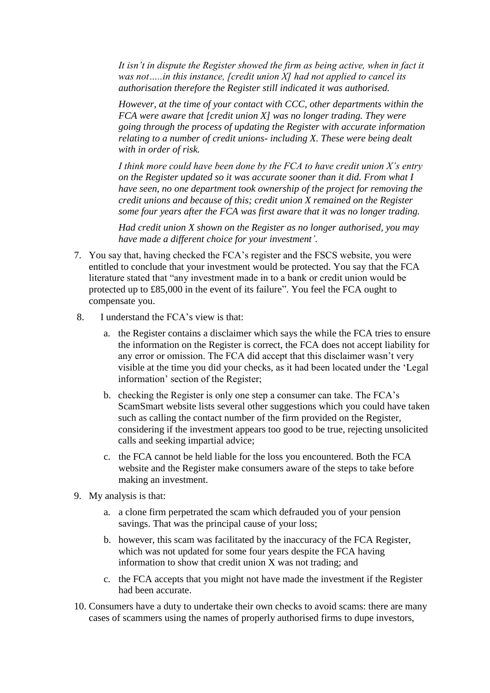*It isn't in dispute the Register showed the firm as being active, when in fact it was not…..in this instance, [credit union X] had not applied to cancel its authorisation therefore the Register still indicated it was authorised.* 

*However, at the time of your contact with CCC, other departments within the FCA were aware that [credit union X] was no longer trading. They were going through the process of updating the Register with accurate information relating to a number of credit unions- including X. These were being dealt with in order of risk.*

*I think more could have been done by the FCA to have credit union X's entry on the Register updated so it was accurate sooner than it did. From what I have seen, no one department took ownership of the project for removing the credit unions and because of this; credit union X remained on the Register some four years after the FCA was first aware that it was no longer trading.*

*Had credit union X shown on the Register as no longer authorised, you may have made a different choice for your investment'.*

- 7. You say that, having checked the FCA's register and the FSCS website, you were entitled to conclude that your investment would be protected. You say that the FCA literature stated that "any investment made in to a bank or credit union would be protected up to £85,000 in the event of its failure". You feel the FCA ought to compensate you.
- 8. I understand the FCA's view is that:
	- a. the Register contains a disclaimer which says the while the FCA tries to ensure the information on the Register is correct, the FCA does not accept liability for any error or omission. The FCA did accept that this disclaimer wasn't very visible at the time you did your checks, as it had been located under the 'Legal information' section of the Register;
	- b. checking the Register is only one step a consumer can take. The FCA's ScamSmart website lists several other suggestions which you could have taken such as calling the contact number of the firm provided on the Register, considering if the investment appears too good to be true, rejecting unsolicited calls and seeking impartial advice;
	- c. the FCA cannot be held liable for the loss you encountered. Both the FCA website and the Register make consumers aware of the steps to take before making an investment.
- 9. My analysis is that:
	- a. a clone firm perpetrated the scam which defrauded you of your pension savings. That was the principal cause of your loss;
	- b. however, this scam was facilitated by the inaccuracy of the FCA Register, which was not updated for some four years despite the FCA having information to show that credit union X was not trading; and
	- c. the FCA accepts that you might not have made the investment if the Register had been accurate.
- 10. Consumers have a duty to undertake their own checks to avoid scams: there are many cases of scammers using the names of properly authorised firms to dupe investors,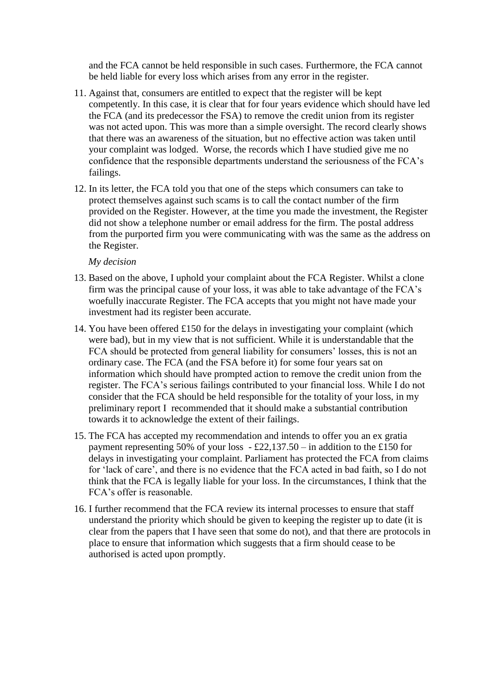and the FCA cannot be held responsible in such cases. Furthermore, the FCA cannot be held liable for every loss which arises from any error in the register.

- 11. Against that, consumers are entitled to expect that the register will be kept competently. In this case, it is clear that for four years evidence which should have led the FCA (and its predecessor the FSA) to remove the credit union from its register was not acted upon. This was more than a simple oversight. The record clearly shows that there was an awareness of the situation, but no effective action was taken until your complaint was lodged. Worse, the records which I have studied give me no confidence that the responsible departments understand the seriousness of the FCA's failings.
- 12. In its letter, the FCA told you that one of the steps which consumers can take to protect themselves against such scams is to call the contact number of the firm provided on the Register. However, at the time you made the investment, the Register did not show a telephone number or email address for the firm. The postal address from the purported firm you were communicating with was the same as the address on the Register.

*My decision* 

- 13. Based on the above, I uphold your complaint about the FCA Register. Whilst a clone firm was the principal cause of your loss, it was able to take advantage of the FCA's woefully inaccurate Register. The FCA accepts that you might not have made your investment had its register been accurate.
- 14. You have been offered £150 for the delays in investigating your complaint (which were bad), but in my view that is not sufficient. While it is understandable that the FCA should be protected from general liability for consumers' losses, this is not an ordinary case. The FCA (and the FSA before it) for some four years sat on information which should have prompted action to remove the credit union from the register. The FCA's serious failings contributed to your financial loss. While I do not consider that the FCA should be held responsible for the totality of your loss, in my preliminary report I recommended that it should make a substantial contribution towards it to acknowledge the extent of their failings.
- 15. The FCA has accepted my recommendation and intends to offer you an ex gratia payment representing 50% of your loss  $-$  £22,137.50 – in addition to the £150 for delays in investigating your complaint. Parliament has protected the FCA from claims for 'lack of care', and there is no evidence that the FCA acted in bad faith, so I do not think that the FCA is legally liable for your loss. In the circumstances, I think that the FCA's offer is reasonable.
- 16. I further recommend that the FCA review its internal processes to ensure that staff understand the priority which should be given to keeping the register up to date (it is clear from the papers that I have seen that some do not), and that there are protocols in place to ensure that information which suggests that a firm should cease to be authorised is acted upon promptly.